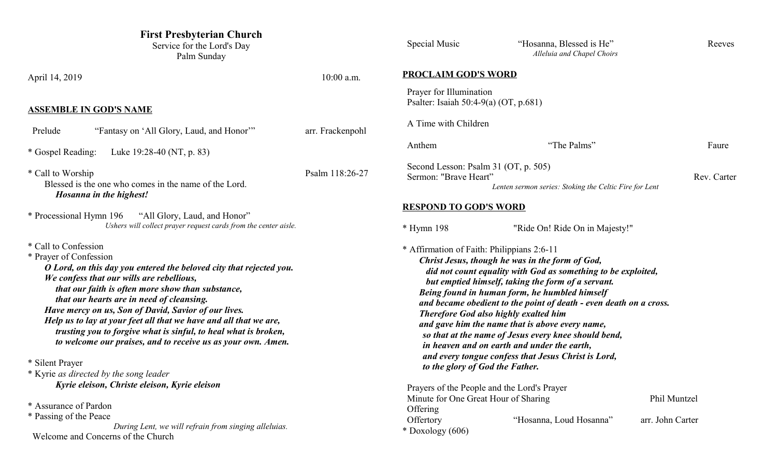| <b>First Presbyterian Church</b><br>Service for the Lord's Day<br>Palm Sunday                                                                                                                                                                                                                                                                                                                                                                                                                                                                           |                  | Special Music                                                                                                                                                                                                                                                                                                                                                                                                                                                                                                                                                                                                                                   | "Hosanna, Blessed is He"<br>Alleluia and Chapel Choirs | Reeves                           |
|---------------------------------------------------------------------------------------------------------------------------------------------------------------------------------------------------------------------------------------------------------------------------------------------------------------------------------------------------------------------------------------------------------------------------------------------------------------------------------------------------------------------------------------------------------|------------------|-------------------------------------------------------------------------------------------------------------------------------------------------------------------------------------------------------------------------------------------------------------------------------------------------------------------------------------------------------------------------------------------------------------------------------------------------------------------------------------------------------------------------------------------------------------------------------------------------------------------------------------------------|--------------------------------------------------------|----------------------------------|
| April 14, 2019                                                                                                                                                                                                                                                                                                                                                                                                                                                                                                                                          | $10:00$ a.m.     | <b>PROCLAIM GOD'S WORD</b>                                                                                                                                                                                                                                                                                                                                                                                                                                                                                                                                                                                                                      |                                                        |                                  |
| <b>ASSEMBLE IN GOD'S NAME</b>                                                                                                                                                                                                                                                                                                                                                                                                                                                                                                                           |                  | Prayer for Illumination<br>Psalter: Isaiah 50:4-9(a) (OT, p.681)                                                                                                                                                                                                                                                                                                                                                                                                                                                                                                                                                                                |                                                        |                                  |
| "Fantasy on 'All Glory, Laud, and Honor"<br>Prelude                                                                                                                                                                                                                                                                                                                                                                                                                                                                                                     | arr. Frackenpohl | A Time with Children                                                                                                                                                                                                                                                                                                                                                                                                                                                                                                                                                                                                                            |                                                        |                                  |
| * Gospel Reading:<br>Luke 19:28-40 (NT, p. 83)                                                                                                                                                                                                                                                                                                                                                                                                                                                                                                          |                  | Anthem                                                                                                                                                                                                                                                                                                                                                                                                                                                                                                                                                                                                                                          | "The Palms"                                            | Faure                            |
| * Call to Worship<br>Blessed is the one who comes in the name of the Lord.<br>Hosanna in the highest!                                                                                                                                                                                                                                                                                                                                                                                                                                                   | Psalm 118:26-27  | Second Lesson: Psalm 31 (OT, p. 505)<br>Sermon: "Brave Heart"                                                                                                                                                                                                                                                                                                                                                                                                                                                                                                                                                                                   | Lenten sermon series: Stoking the Celtic Fire for Lent | Rev. Carter                      |
| * Processional Hymn 196<br>"All Glory, Laud, and Honor"<br>Ushers will collect prayer request cards from the center aisle.                                                                                                                                                                                                                                                                                                                                                                                                                              |                  | <b>RESPOND TO GOD'S WORD</b><br>$*$ Hymn 198                                                                                                                                                                                                                                                                                                                                                                                                                                                                                                                                                                                                    | "Ride On! Ride On in Majesty!"                         |                                  |
| * Call to Confession<br>* Prayer of Confession<br>O Lord, on this day you entered the beloved city that rejected you.<br>We confess that our wills are rebellious,<br>that our faith is often more show than substance,<br>that our hearts are in need of cleansing.<br>Have mercy on us, Son of David, Savior of our lives.<br>Help us to lay at your feet all that we have and all that we are,<br>trusting you to forgive what is sinful, to heal what is broken,<br>to welcome our praises, and to receive us as your own. Amen.<br>* Silent Prayer |                  | * Affirmation of Faith: Philippians 2:6-11<br>Christ Jesus, though he was in the form of God,<br>did not count equality with God as something to be exploited,<br>but emptied himself, taking the form of a servant.<br>Being found in human form, he humbled himself<br>and became obedient to the point of death - even death on a cross.<br><b>Therefore God also highly exalted him</b><br>and gave him the name that is above every name,<br>so that at the name of Jesus every knee should bend,<br>in heaven and on earth and under the earth,<br>and every tongue confess that Jesus Christ is Lord,<br>to the glory of God the Father. |                                                        |                                  |
| * Kyrie as directed by the song leader<br>Kyrie eleison, Christe eleison, Kyrie eleison<br>* Assurance of Pardon<br>* Passing of the Peace<br>During Lent, we will refrain from singing alleluias.<br>Welcome and Concerns of the Church                                                                                                                                                                                                                                                                                                                |                  | Prayers of the People and the Lord's Prayer<br>Minute for One Great Hour of Sharing<br>Offering<br>Offertory<br>$*$ Doxology (606)                                                                                                                                                                                                                                                                                                                                                                                                                                                                                                              | "Hosanna, Loud Hosanna"                                | Phil Muntzel<br>arr. John Carter |